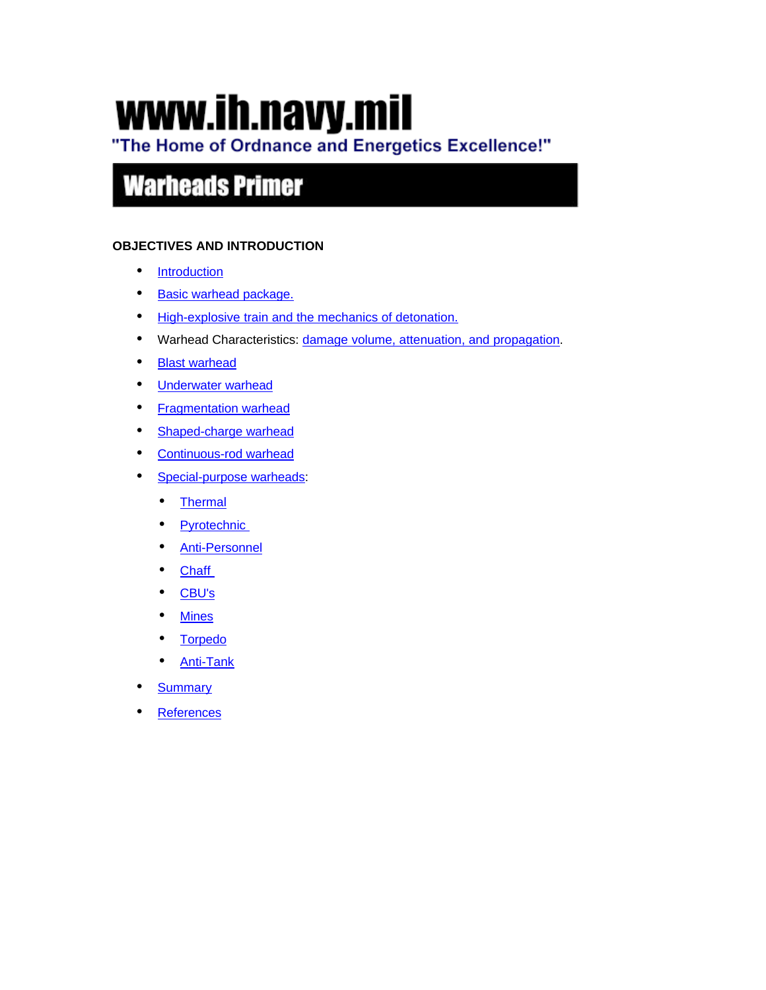# www.ih.navy.mil

"The Home of Ordnance and Energetics Excellence!"

# **Warheads Primer**

# **OBJECTIVES AND INTRODUCTION**

- Introduction
- Basic warhead package.
- High-explosive train and the mechanics of detonation.
- Warhead Characteristics: damage volume, attenuation, and propagation.
- Blast warhead
- Underwater warhead
- Fragmentation warhead
- Shaped-charge warhead
- Continuous-rod warhead
- Special-purpose warheads:
	- Thermal
	- Pyrotechnic
	- Anti-Personnel
	- Chaff
	- CBU's
	- Mines
	- Torpedo
	- Anti-Tank
- **Summary**
- References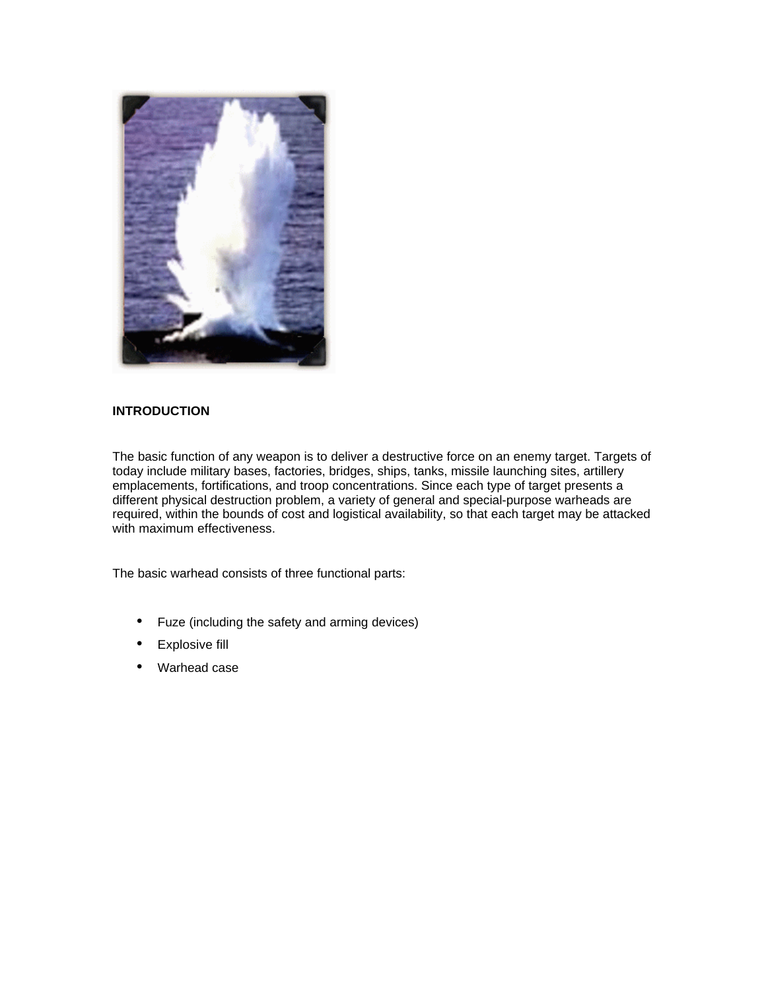

# **INTRODUCTION**

The basic function of any weapon is to deliver a destructive force on an enemy target. Targets of today include military bases, factories, bridges, ships, tanks, missile launching sites, artillery emplacements, fortifications, and troop concentrations. Since each type of target presents a different physical destruction problem, a variety of general and special-purpose warheads are required, within the bounds of cost and logistical availability, so that each target may be attacked with maximum effectiveness.

The basic warhead consists of three functional parts:

- Fuze (including the safety and arming devices)
- Explosive fill
- Warhead case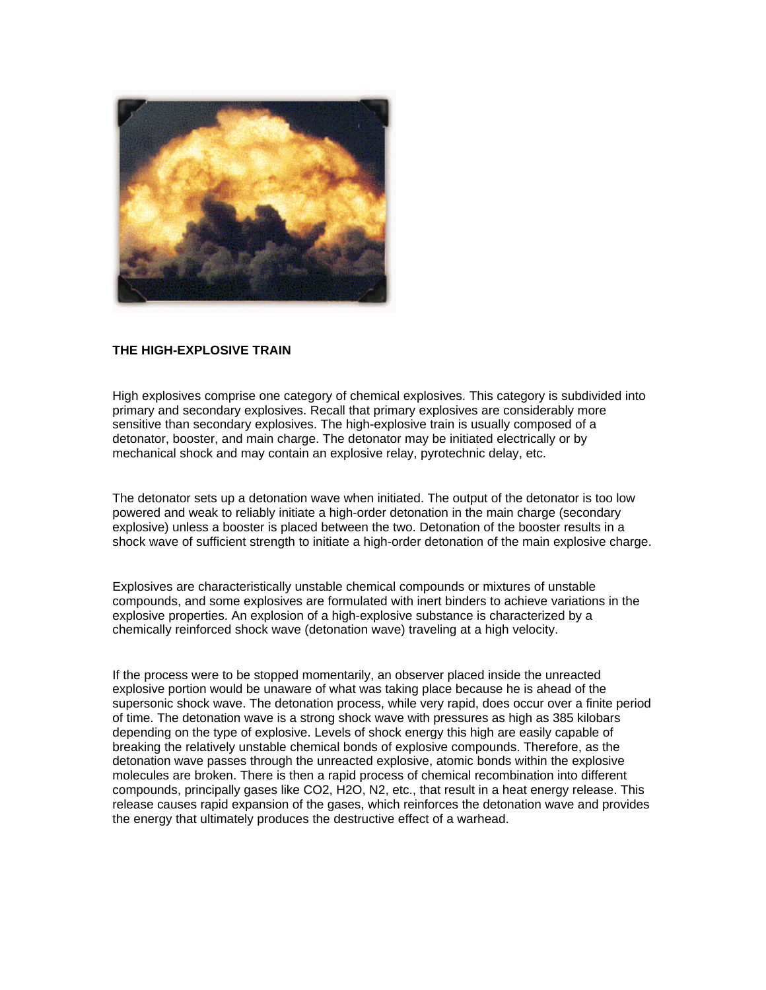

# **THE HIGH-EXPLOSIVE TRAIN**

High explosives comprise one category of chemical explosives. This category is subdivided into primary and secondary explosives. Recall that primary explosives are considerably more sensitive than secondary explosives. The high-explosive train is usually composed of a detonator, booster, and main charge. The detonator may be initiated electrically or by mechanical shock and may contain an explosive relay, pyrotechnic delay, etc.

The detonator sets up a detonation wave when initiated. The output of the detonator is too low powered and weak to reliably initiate a high-order detonation in the main charge (secondary explosive) unless a booster is placed between the two. Detonation of the booster results in a shock wave of sufficient strength to initiate a high-order detonation of the main explosive charge.

Explosives are characteristically unstable chemical compounds or mixtures of unstable compounds, and some explosives are formulated with inert binders to achieve variations in the explosive properties. An explosion of a high-explosive substance is characterized by a chemically reinforced shock wave (detonation wave) traveling at a high velocity.

If the process were to be stopped momentarily, an observer placed inside the unreacted explosive portion would be unaware of what was taking place because he is ahead of the supersonic shock wave. The detonation process, while very rapid, does occur over a finite period of time. The detonation wave is a strong shock wave with pressures as high as 385 kilobars depending on the type of explosive. Levels of shock energy this high are easily capable of breaking the relatively unstable chemical bonds of explosive compounds. Therefore, as the detonation wave passes through the unreacted explosive, atomic bonds within the explosive molecules are broken. There is then a rapid process of chemical recombination into different compounds, principally gases like CO2, H2O, N2, etc., that result in a heat energy release. This release causes rapid expansion of the gases, which reinforces the detonation wave and provides the energy that ultimately produces the destructive effect of a warhead.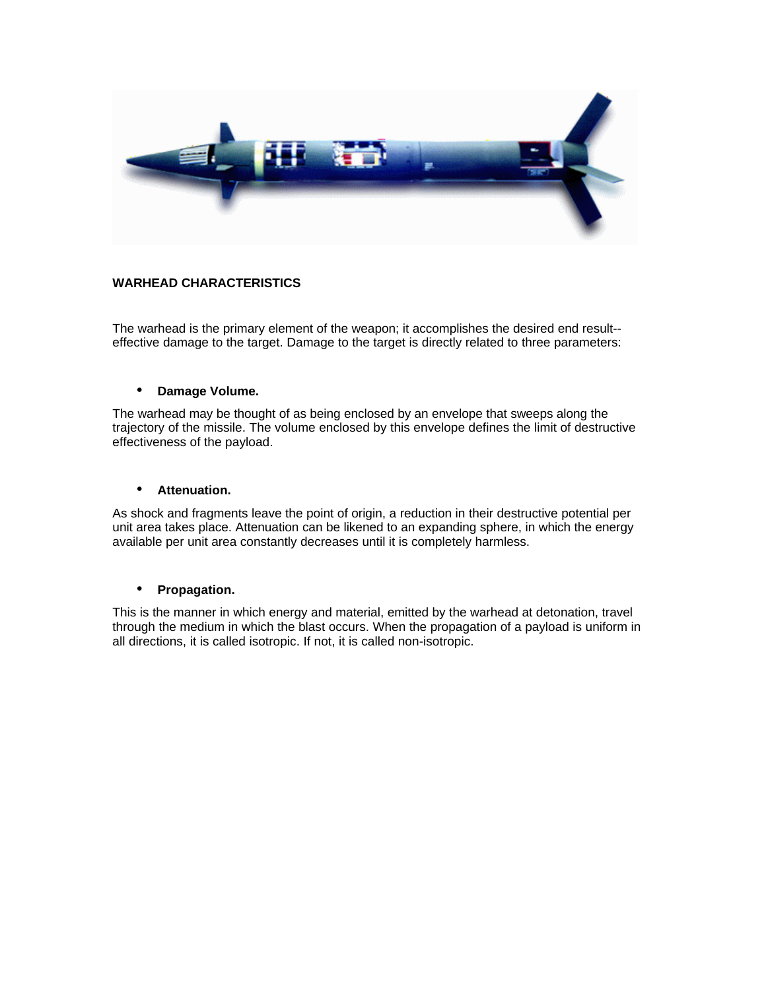

# **WARHEAD CHARACTERISTICS**

The warhead is the primary element of the weapon; it accomplishes the desired end result- effective damage to the target. Damage to the target is directly related to three parameters:

#### • **Damage Volume.**

The warhead may be thought of as being enclosed by an envelope that sweeps along the trajectory of the missile. The volume enclosed by this envelope defines the limit of destructive effectiveness of the payload.

#### • **Attenuation.**

As shock and fragments leave the point of origin, a reduction in their destructive potential per unit area takes place. Attenuation can be likened to an expanding sphere, in which the energy available per unit area constantly decreases until it is completely harmless.

#### • **Propagation.**

This is the manner in which energy and material, emitted by the warhead at detonation, travel through the medium in which the blast occurs. When the propagation of a payload is uniform in all directions, it is called isotropic. If not, it is called non-isotropic.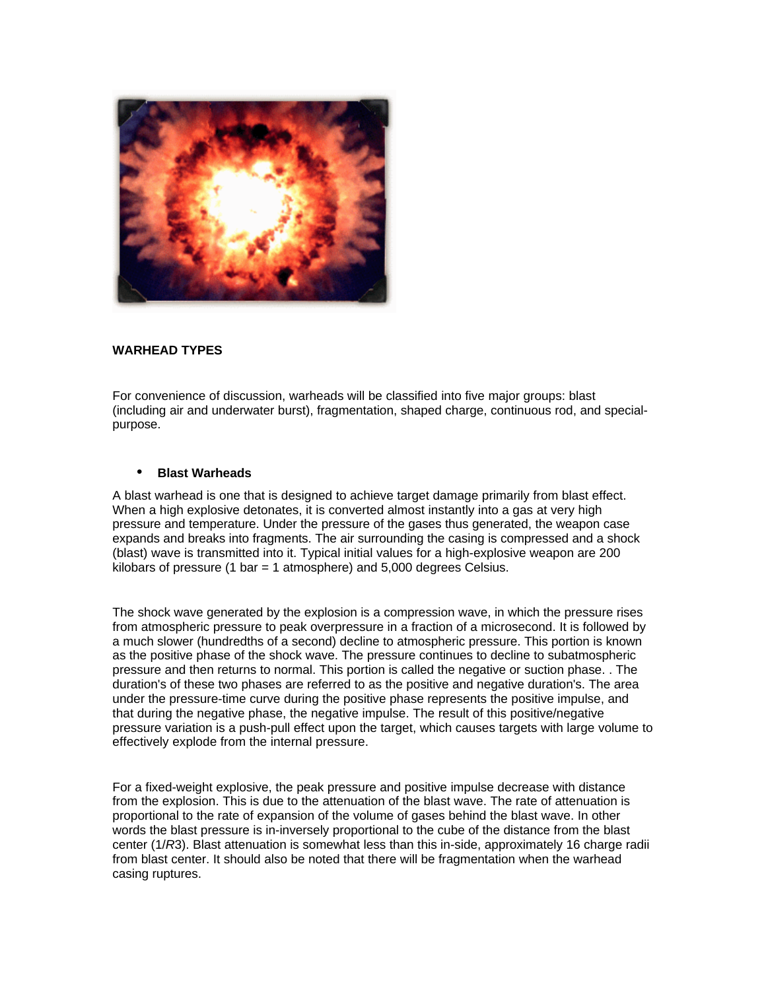

#### **WARHEAD TYPES**

For convenience of discussion, warheads will be classified into five major groups: blast (including air and underwater burst), fragmentation, shaped charge, continuous rod, and specialpurpose.

#### • **Blast Warheads**

A blast warhead is one that is designed to achieve target damage primarily from blast effect. When a high explosive detonates, it is converted almost instantly into a gas at very high pressure and temperature. Under the pressure of the gases thus generated, the weapon case expands and breaks into fragments. The air surrounding the casing is compressed and a shock (blast) wave is transmitted into it. Typical initial values for a high-explosive weapon are 200 kilobars of pressure (1 bar = 1 atmosphere) and 5,000 degrees Celsius.

The shock wave generated by the explosion is a compression wave, in which the pressure rises from atmospheric pressure to peak overpressure in a fraction of a microsecond. It is followed by a much slower (hundredths of a second) decline to atmospheric pressure. This portion is known as the positive phase of the shock wave. The pressure continues to decline to subatmospheric pressure and then returns to normal. This portion is called the negative or suction phase. . The duration's of these two phases are referred to as the positive and negative duration's. The area under the pressure-time curve during the positive phase represents the positive impulse, and that during the negative phase, the negative impulse. The result of this positive/negative pressure variation is a push-pull effect upon the target, which causes targets with large volume to effectively explode from the internal pressure.

For a fixed-weight explosive, the peak pressure and positive impulse decrease with distance from the explosion. This is due to the attenuation of the blast wave. The rate of attenuation is proportional to the rate of expansion of the volume of gases behind the blast wave. In other words the blast pressure is in-inversely proportional to the cube of the distance from the blast center (1/*R*3). Blast attenuation is somewhat less than this in-side, approximately 16 charge radii from blast center. It should also be noted that there will be fragmentation when the warhead casing ruptures.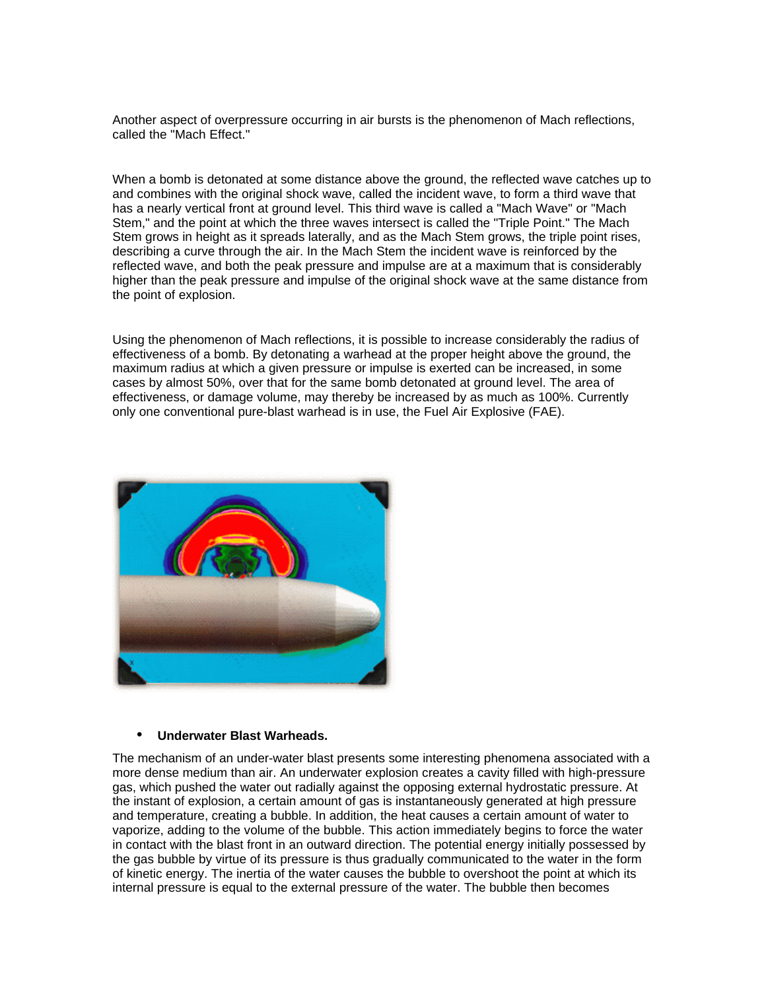Another aspect of overpressure occurring in air bursts is the phenomenon of Mach reflections, called the "Mach Effect."

When a bomb is detonated at some distance above the ground, the reflected wave catches up to and combines with the original shock wave, called the incident wave, to form a third wave that has a nearly vertical front at ground level. This third wave is called a "Mach Wave" or "Mach Stem," and the point at which the three waves intersect is called the "Triple Point." The Mach Stem grows in height as it spreads laterally, and as the Mach Stem grows, the triple point rises, describing a curve through the air. In the Mach Stem the incident wave is reinforced by the reflected wave, and both the peak pressure and impulse are at a maximum that is considerably higher than the peak pressure and impulse of the original shock wave at the same distance from the point of explosion.

Using the phenomenon of Mach reflections, it is possible to increase considerably the radius of effectiveness of a bomb. By detonating a warhead at the proper height above the ground, the maximum radius at which a given pressure or impulse is exerted can be increased, in some cases by almost 50%, over that for the same bomb detonated at ground level. The area of effectiveness, or damage volume, may thereby be increased by as much as 100%. Currently only one conventional pure-blast warhead is in use, the Fuel Air Explosive (FAE).



#### • **Underwater Blast Warheads.**

The mechanism of an under-water blast presents some interesting phenomena associated with a more dense medium than air. An underwater explosion creates a cavity filled with high-pressure gas, which pushed the water out radially against the opposing external hydrostatic pressure. At the instant of explosion, a certain amount of gas is instantaneously generated at high pressure and temperature, creating a bubble. In addition, the heat causes a certain amount of water to vaporize, adding to the volume of the bubble. This action immediately begins to force the water in contact with the blast front in an outward direction. The potential energy initially possessed by the gas bubble by virtue of its pressure is thus gradually communicated to the water in the form of kinetic energy. The inertia of the water causes the bubble to overshoot the point at which its internal pressure is equal to the external pressure of the water. The bubble then becomes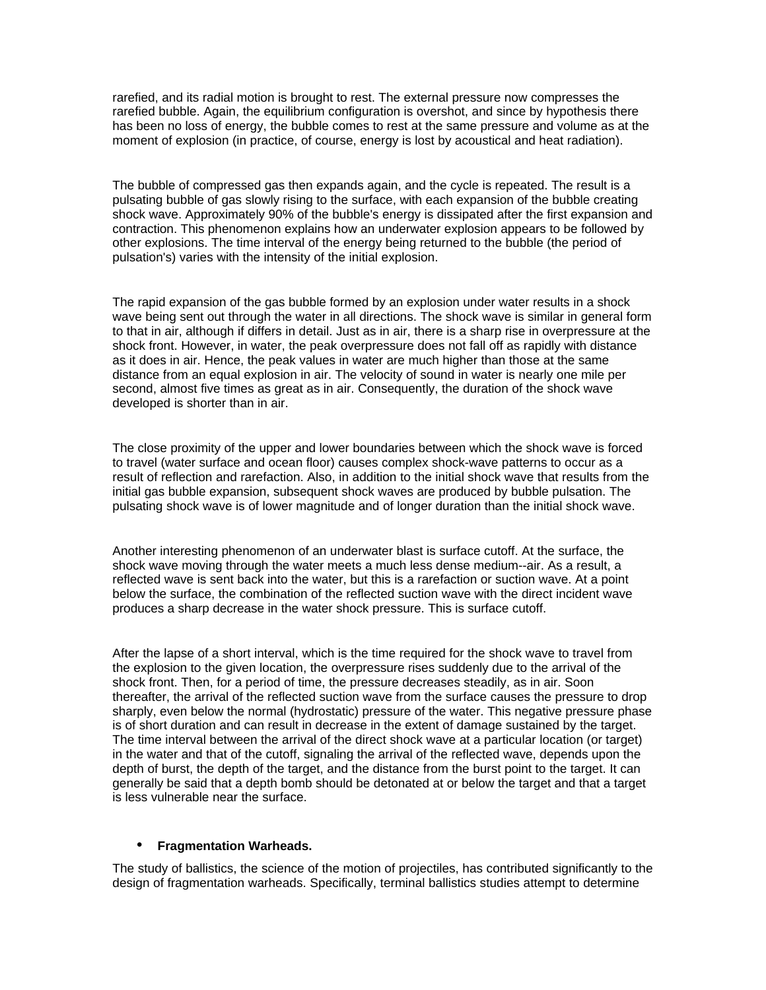rarefied, and its radial motion is brought to rest. The external pressure now compresses the rarefied bubble. Again, the equilibrium configuration is overshot, and since by hypothesis there has been no loss of energy, the bubble comes to rest at the same pressure and volume as at the moment of explosion (in practice, of course, energy is lost by acoustical and heat radiation).

The bubble of compressed gas then expands again, and the cycle is repeated. The result is a pulsating bubble of gas slowly rising to the surface, with each expansion of the bubble creating shock wave. Approximately 90% of the bubble's energy is dissipated after the first expansion and contraction. This phenomenon explains how an underwater explosion appears to be followed by other explosions. The time interval of the energy being returned to the bubble (the period of pulsation's) varies with the intensity of the initial explosion.

The rapid expansion of the gas bubble formed by an explosion under water results in a shock wave being sent out through the water in all directions. The shock wave is similar in general form to that in air, although if differs in detail. Just as in air, there is a sharp rise in overpressure at the shock front. However, in water, the peak overpressure does not fall off as rapidly with distance as it does in air. Hence, the peak values in water are much higher than those at the same distance from an equal explosion in air. The velocity of sound in water is nearly one mile per second, almost five times as great as in air. Consequently, the duration of the shock wave developed is shorter than in air.

The close proximity of the upper and lower boundaries between which the shock wave is forced to travel (water surface and ocean floor) causes complex shock-wave patterns to occur as a result of reflection and rarefaction. Also, in addition to the initial shock wave that results from the initial gas bubble expansion, subsequent shock waves are produced by bubble pulsation. The pulsating shock wave is of lower magnitude and of longer duration than the initial shock wave.

Another interesting phenomenon of an underwater blast is surface cutoff. At the surface, the shock wave moving through the water meets a much less dense medium--air. As a result, a reflected wave is sent back into the water, but this is a rarefaction or suction wave. At a point below the surface, the combination of the reflected suction wave with the direct incident wave produces a sharp decrease in the water shock pressure. This is surface cutoff.

After the lapse of a short interval, which is the time required for the shock wave to travel from the explosion to the given location, the overpressure rises suddenly due to the arrival of the shock front. Then, for a period of time, the pressure decreases steadily, as in air. Soon thereafter, the arrival of the reflected suction wave from the surface causes the pressure to drop sharply, even below the normal (hydrostatic) pressure of the water. This negative pressure phase is of short duration and can result in decrease in the extent of damage sustained by the target. The time interval between the arrival of the direct shock wave at a particular location (or target) in the water and that of the cutoff, signaling the arrival of the reflected wave, depends upon the depth of burst, the depth of the target, and the distance from the burst point to the target. It can generally be said that a depth bomb should be detonated at or below the target and that a target is less vulnerable near the surface.

# • **Fragmentation Warheads.**

The study of ballistics, the science of the motion of projectiles, has contributed significantly to the design of fragmentation warheads. Specifically, terminal ballistics studies attempt to determine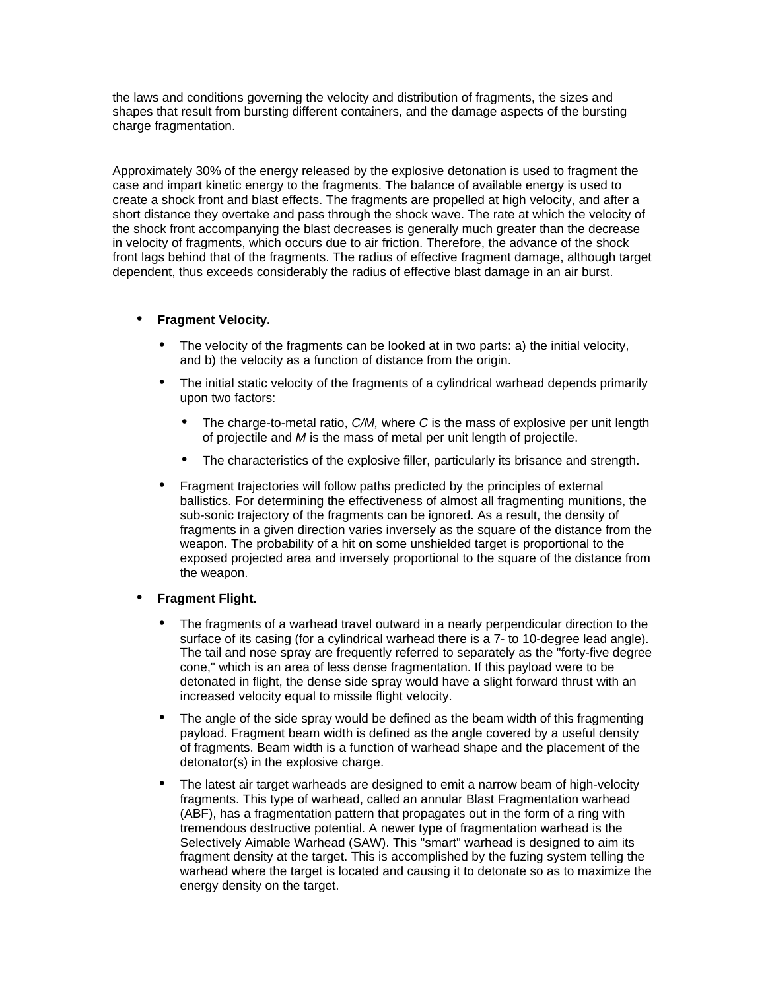the laws and conditions governing the velocity and distribution of fragments, the sizes and shapes that result from bursting different containers, and the damage aspects of the bursting charge fragmentation.

Approximately 30% of the energy released by the explosive detonation is used to fragment the case and impart kinetic energy to the fragments. The balance of available energy is used to create a shock front and blast effects. The fragments are propelled at high velocity, and after a short distance they overtake and pass through the shock wave. The rate at which the velocity of the shock front accompanying the blast decreases is generally much greater than the decrease in velocity of fragments, which occurs due to air friction. Therefore, the advance of the shock front lags behind that of the fragments. The radius of effective fragment damage, although target dependent, thus exceeds considerably the radius of effective blast damage in an air burst.

# • **Fragment Velocity.**

- The velocity of the fragments can be looked at in two parts: a) the initial velocity, and b) the velocity as a function of distance from the origin.
- The initial static velocity of the fragments of a cylindrical warhead depends primarily upon two factors:
	- The charge-to-metal ratio, *C/M,* where *C* is the mass of explosive per unit length of projectile and *M* is the mass of metal per unit length of projectile.
	- The characteristics of the explosive filler, particularly its brisance and strength.
- Fragment trajectories will follow paths predicted by the principles of external ballistics. For determining the effectiveness of almost all fragmenting munitions, the sub-sonic trajectory of the fragments can be ignored. As a result, the density of fragments in a given direction varies inversely as the square of the distance from the weapon. The probability of a hit on some unshielded target is proportional to the exposed projected area and inversely proportional to the square of the distance from the weapon.

# • **Fragment Flight.**

- The fragments of a warhead travel outward in a nearly perpendicular direction to the surface of its casing (for a cylindrical warhead there is a 7- to 10-degree lead angle). The tail and nose spray are frequently referred to separately as the "forty-five degree cone," which is an area of less dense fragmentation. If this payload were to be detonated in flight, the dense side spray would have a slight forward thrust with an increased velocity equal to missile flight velocity.
- The angle of the side spray would be defined as the beam width of this fragmenting payload. Fragment beam width is defined as the angle covered by a useful density of fragments. Beam width is a function of warhead shape and the placement of the detonator(s) in the explosive charge.
- The latest air target warheads are designed to emit a narrow beam of high-velocity fragments. This type of warhead, called an annular Blast Fragmentation warhead (ABF), has a fragmentation pattern that propagates out in the form of a ring with tremendous destructive potential. A newer type of fragmentation warhead is the Selectively Aimable Warhead (SAW). This "smart" warhead is designed to aim its fragment density at the target. This is accomplished by the fuzing system telling the warhead where the target is located and causing it to detonate so as to maximize the energy density on the target.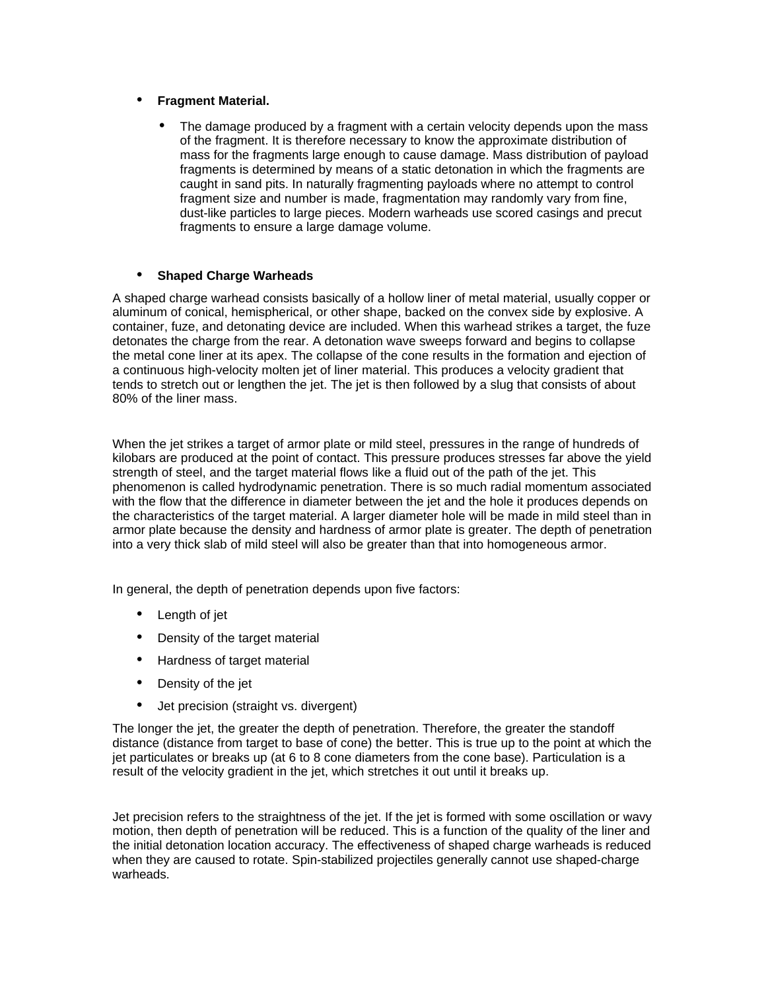### • **Fragment Material.**

• The damage produced by a fragment with a certain velocity depends upon the mass of the fragment. It is therefore necessary to know the approximate distribution of mass for the fragments large enough to cause damage. Mass distribution of payload fragments is determined by means of a static detonation in which the fragments are caught in sand pits. In naturally fragmenting payloads where no attempt to control fragment size and number is made, fragmentation may randomly vary from fine, dust-like particles to large pieces. Modern warheads use scored casings and precut fragments to ensure a large damage volume.

#### • **Shaped Charge Warheads**

A shaped charge warhead consists basically of a hollow liner of metal material, usually copper or aluminum of conical, hemispherical, or other shape, backed on the convex side by explosive. A container, fuze, and detonating device are included. When this warhead strikes a target, the fuze detonates the charge from the rear. A detonation wave sweeps forward and begins to collapse the metal cone liner at its apex. The collapse of the cone results in the formation and ejection of a continuous high-velocity molten jet of liner material. This produces a velocity gradient that tends to stretch out or lengthen the jet. The jet is then followed by a slug that consists of about 80% of the liner mass.

When the jet strikes a target of armor plate or mild steel, pressures in the range of hundreds of kilobars are produced at the point of contact. This pressure produces stresses far above the yield strength of steel, and the target material flows like a fluid out of the path of the jet. This phenomenon is called hydrodynamic penetration. There is so much radial momentum associated with the flow that the difference in diameter between the jet and the hole it produces depends on the characteristics of the target material. A larger diameter hole will be made in mild steel than in armor plate because the density and hardness of armor plate is greater. The depth of penetration into a very thick slab of mild steel will also be greater than that into homogeneous armor.

In general, the depth of penetration depends upon five factors:

- Length of jet
- Density of the target material
- Hardness of target material
- Density of the jet
- Jet precision (straight vs. divergent)

The longer the jet, the greater the depth of penetration. Therefore, the greater the standoff distance (distance from target to base of cone) the better. This is true up to the point at which the jet particulates or breaks up (at 6 to 8 cone diameters from the cone base). Particulation is a result of the velocity gradient in the jet, which stretches it out until it breaks up.

Jet precision refers to the straightness of the jet. If the jet is formed with some oscillation or wavy motion, then depth of penetration will be reduced. This is a function of the quality of the liner and the initial detonation location accuracy. The effectiveness of shaped charge warheads is reduced when they are caused to rotate. Spin-stabilized projectiles generally cannot use shaped-charge warheads.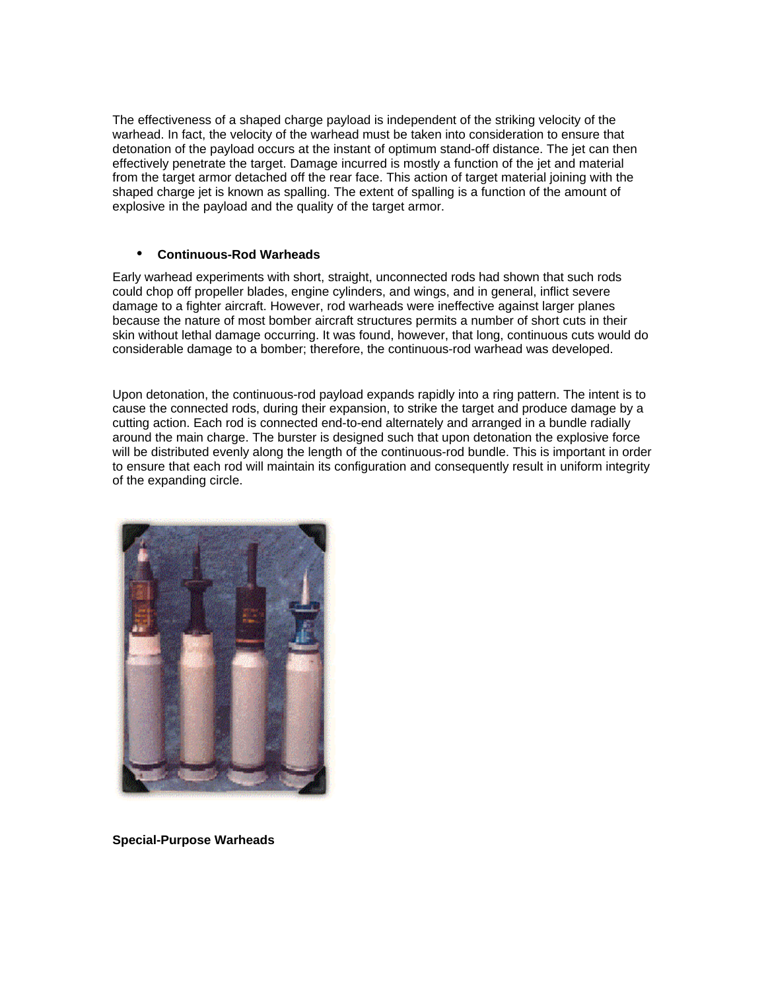The effectiveness of a shaped charge payload is independent of the striking velocity of the warhead. In fact, the velocity of the warhead must be taken into consideration to ensure that detonation of the payload occurs at the instant of optimum stand-off distance. The jet can then effectively penetrate the target. Damage incurred is mostly a function of the jet and material from the target armor detached off the rear face. This action of target material joining with the shaped charge jet is known as spalling. The extent of spalling is a function of the amount of explosive in the payload and the quality of the target armor.

#### • **Continuous-Rod Warheads**

Early warhead experiments with short, straight, unconnected rods had shown that such rods could chop off propeller blades, engine cylinders, and wings, and in general, inflict severe damage to a fighter aircraft. However, rod warheads were ineffective against larger planes because the nature of most bomber aircraft structures permits a number of short cuts in their skin without lethal damage occurring. It was found, however, that long, continuous cuts would do considerable damage to a bomber; therefore, the continuous-rod warhead was developed.

Upon detonation, the continuous-rod payload expands rapidly into a ring pattern. The intent is to cause the connected rods, during their expansion, to strike the target and produce damage by a cutting action. Each rod is connected end-to-end alternately and arranged in a bundle radially around the main charge. The burster is designed such that upon detonation the explosive force will be distributed evenly along the length of the continuous-rod bundle. This is important in order to ensure that each rod will maintain its configuration and consequently result in uniform integrity of the expanding circle.



**Special-Purpose Warheads**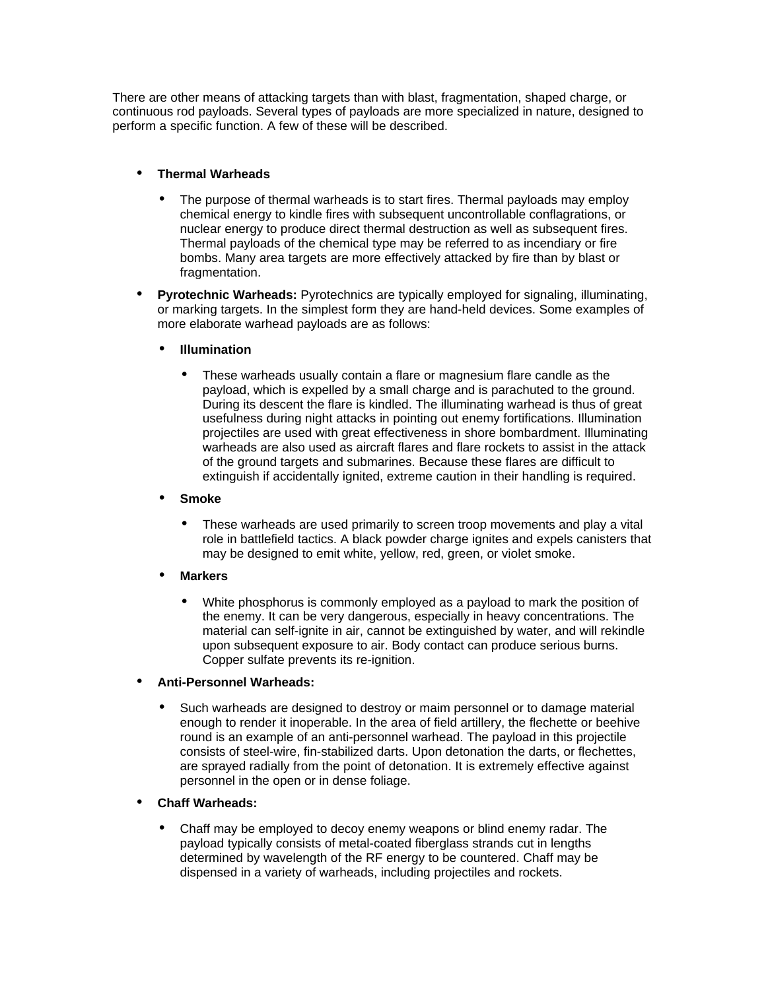There are other means of attacking targets than with blast, fragmentation, shaped charge, or continuous rod payloads. Several types of payloads are more specialized in nature, designed to perform a specific function. A few of these will be described.

### • **Thermal Warheads**

- The purpose of thermal warheads is to start fires. Thermal payloads may employ chemical energy to kindle fires with subsequent uncontrollable conflagrations, or nuclear energy to produce direct thermal destruction as well as subsequent fires. Thermal payloads of the chemical type may be referred to as incendiary or fire bombs. Many area targets are more effectively attacked by fire than by blast or fragmentation.
- **Pyrotechnic Warheads:** Pyrotechnics are typically employed for signaling, illuminating, or marking targets. In the simplest form they are hand-held devices. Some examples of more elaborate warhead payloads are as follows:

# • **Illumination**

- These warheads usually contain a flare or magnesium flare candle as the payload, which is expelled by a small charge and is parachuted to the ground. During its descent the flare is kindled. The illuminating warhead is thus of great usefulness during night attacks in pointing out enemy fortifications. Illumination projectiles are used with great effectiveness in shore bombardment. Illuminating warheads are also used as aircraft flares and flare rockets to assist in the attack of the ground targets and submarines. Because these flares are difficult to extinguish if accidentally ignited, extreme caution in their handling is required.
- **Smoke**
	- These warheads are used primarily to screen troop movements and play a vital role in battlefield tactics. A black powder charge ignites and expels canisters that may be designed to emit white, yellow, red, green, or violet smoke.
- **Markers**
	- White phosphorus is commonly employed as a payload to mark the position of the enemy. It can be very dangerous, especially in heavy concentrations. The material can self-ignite in air, cannot be extinguished by water, and will rekindle upon subsequent exposure to air. Body contact can produce serious burns. Copper sulfate prevents its re-ignition.
- **Anti-Personnel Warheads:**
	- Such warheads are designed to destroy or maim personnel or to damage material enough to render it inoperable. In the area of field artillery, the flechette or beehive round is an example of an anti-personnel warhead. The payload in this projectile consists of steel-wire, fin-stabilized darts. Upon detonation the darts, or flechettes, are sprayed radially from the point of detonation. It is extremely effective against personnel in the open or in dense foliage.

# • **Chaff Warheads:**

• Chaff may be employed to decoy enemy weapons or blind enemy radar. The payload typically consists of metal-coated fiberglass strands cut in lengths determined by wavelength of the RF energy to be countered. Chaff may be dispensed in a variety of warheads, including projectiles and rockets.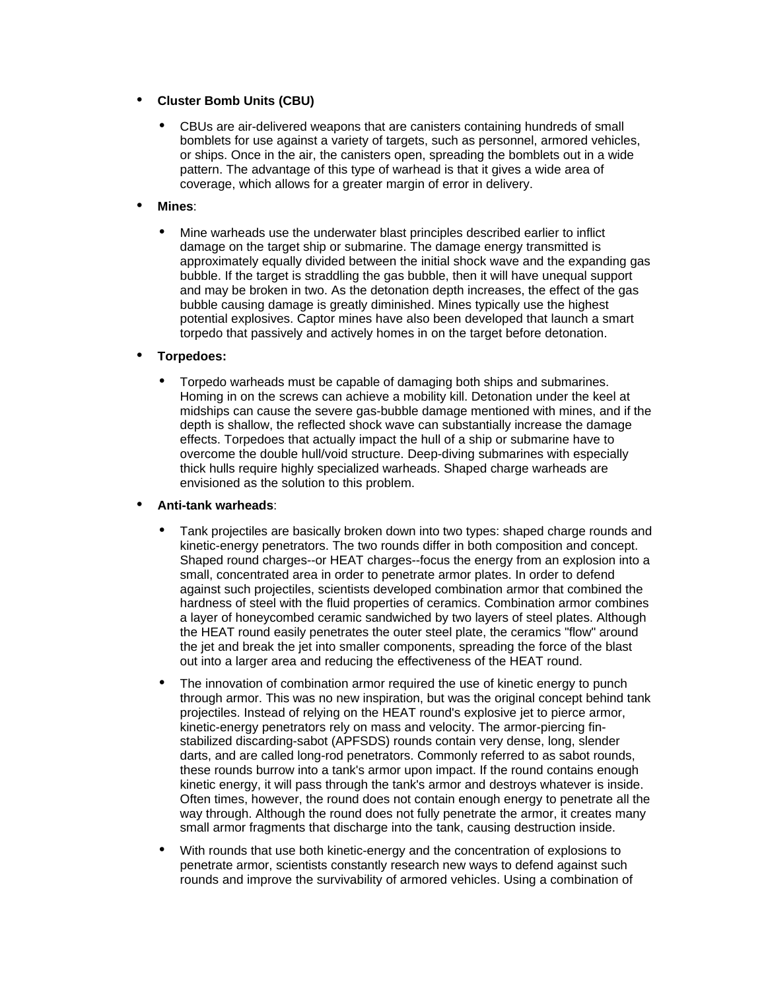- **Cluster Bomb Units (CBU)**
	- CBUs are air-delivered weapons that are canisters containing hundreds of small bomblets for use against a variety of targets, such as personnel, armored vehicles, or ships. Once in the air, the canisters open, spreading the bomblets out in a wide pattern. The advantage of this type of warhead is that it gives a wide area of coverage, which allows for a greater margin of error in delivery.
- **Mines**:
	- Mine warheads use the underwater blast principles described earlier to inflict damage on the target ship or submarine. The damage energy transmitted is approximately equally divided between the initial shock wave and the expanding gas bubble. If the target is straddling the gas bubble, then it will have unequal support and may be broken in two. As the detonation depth increases, the effect of the gas bubble causing damage is greatly diminished. Mines typically use the highest potential explosives. Captor mines have also been developed that launch a smart torpedo that passively and actively homes in on the target before detonation.

#### • **Torpedoes:**

• Torpedo warheads must be capable of damaging both ships and submarines. Homing in on the screws can achieve a mobility kill. Detonation under the keel at midships can cause the severe gas-bubble damage mentioned with mines, and if the depth is shallow, the reflected shock wave can substantially increase the damage effects. Torpedoes that actually impact the hull of a ship or submarine have to overcome the double hull/void structure. Deep-diving submarines with especially thick hulls require highly specialized warheads. Shaped charge warheads are envisioned as the solution to this problem.

#### • **Anti-tank warheads**:

- Tank projectiles are basically broken down into two types: shaped charge rounds and kinetic-energy penetrators. The two rounds differ in both composition and concept. Shaped round charges--or HEAT charges--focus the energy from an explosion into a small, concentrated area in order to penetrate armor plates. In order to defend against such projectiles, scientists developed combination armor that combined the hardness of steel with the fluid properties of ceramics. Combination armor combines a layer of honeycombed ceramic sandwiched by two layers of steel plates. Although the HEAT round easily penetrates the outer steel plate, the ceramics "flow" around the jet and break the jet into smaller components, spreading the force of the blast out into a larger area and reducing the effectiveness of the HEAT round.
- The innovation of combination armor required the use of kinetic energy to punch through armor. This was no new inspiration, but was the original concept behind tank projectiles. Instead of relying on the HEAT round's explosive jet to pierce armor, kinetic-energy penetrators rely on mass and velocity. The armor-piercing finstabilized discarding-sabot (APFSDS) rounds contain very dense, long, slender darts, and are called long-rod penetrators. Commonly referred to as sabot rounds, these rounds burrow into a tank's armor upon impact. If the round contains enough kinetic energy, it will pass through the tank's armor and destroys whatever is inside. Often times, however, the round does not contain enough energy to penetrate all the way through. Although the round does not fully penetrate the armor, it creates many small armor fragments that discharge into the tank, causing destruction inside.
- With rounds that use both kinetic-energy and the concentration of explosions to penetrate armor, scientists constantly research new ways to defend against such rounds and improve the survivability of armored vehicles. Using a combination of